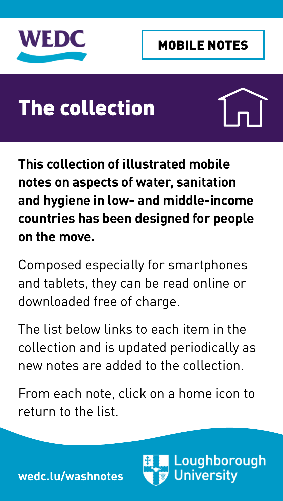<span id="page-0-0"></span>

# The collection



**This collection of illustrated mobile notes on aspects of water, sanitation and hygiene in low- and middle-income countries has been designed for people on the move.** 

Composed especially for smartphones and tablets, they can be read online or downloaded free of charge.

The list below links to each item in the collection and is updated periodically as new notes are added to the collection.

From each note, click on a home icon to return to the list.

> Loughborough **University**

**[wedc.l](http://wedc.lu/washnotes)u/washnotes**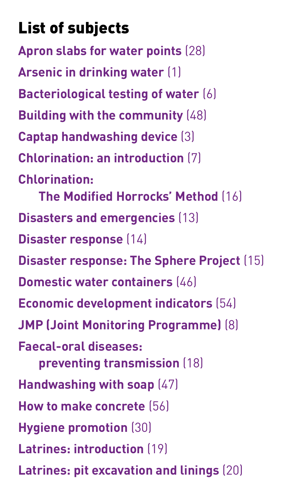# List of subjects

**[Apron slabs for water points](http://wedc.lboro.ac.uk/resources/e/mn/028-Apron-slabs-for-water-points.pdf)** (28) **[Arsenic in drinking water](http://wedc.lboro.ac.uk/resources/e/mn/001-Arsenic-in-drinking-water.pdf)** (1) **[Bacteriological testing of water](http://wedc.lboro.ac.uk/resources/e/mn/006-Bacteriological-testing-of-water.pdf)** (6) **[Building with the community](http://wedc.lboro.ac.uk/resources/e/mn/048-Building-with-the-community.pdf)** (48) **[Captap handwashing device](http://wedc.lboro.ac.uk/resources/e/mn/003-The-Captap.pdf)** (3) **[Chlorination: an introduction](http://wedc.lboro.ac.uk/resources/e/mn/007-Chlorination.pdf)** (7) **[Chlorination:](http://wedc.lboro.ac.uk/resources/e/mn/016-Chlorination-Modified-Horrocks-Method.pdf) [The Modified Horrocks' Method](http://wedc.lboro.ac.uk/resources/e/mn/016-Chlorination-Modified-Horrocks-Method.pdf)** (16) **[Disasters and emergencies](http://wedc.lboro.ac.uk/resources/e/mn/013-Disasters-and-emergencies.pdf)** (13) **D[isaster response](http://wedc.lboro.ac.uk/resources/e/mn/014-Disaster-response.pdf)** (14) **[Disaster response: The Sphere Project](http://wedc.lboro.ac.uk/resources/e/mn/015-Disaster-response-Sphere.pdf)** (15) **[Domestic water containers](http://wedc.lboro.ac.uk/resources/e/mn/046-Domestic-water-containers.pdf)** (46) **[Economic development indicators](http://wedc.lboro.ac.uk/resources/e/mn/054-Economic-development-indicators.pdf)** (54) **[JMP \(Joint Monitoring Programme\)](http://wedc.lboro.ac.uk/resources/e/mn/008-JMP-for-WSS.pdf)** (8) **[Faecal-oral diseases:](http://wedc.lboro.ac.uk/resources/e/mn/018-Preventing-the-transmission-of-faecal-oral-diseases.pdf)  [preventing transmission](http://wedc.lboro.ac.uk/resources/e/mn/018-Preventing-the-transmission-of-faecal-oral-diseases.pdf)** (18) **[Handwashing with soap](http://wedc.lboro.ac.uk/resources/e/mn/047-handwashing-with-soap.pdf)** (47) **[How to make concrete](http://wedc.lboro.ac.uk/resources/e/mn/056-How-to-make-concrete.pdf)** (56) **[Hygiene promotion](http://wedc.lboro.ac.uk/resources/e/mn/030-Hygiene-promotion.pdf)** (30) **[Latrines: introduction](http://wedc.lboro.ac.uk/resources/e/mn/019-Latrines-introduction.pdf)** [\(19\)](http://wedc.lboro.ac.uk/resources/e/mn/019-Latrines-introduction.pdf) **[Latrines: pit excavation and linings](http://wedc.lboro.ac.uk/resources/e/mn/020-Latrine-pit-excavation-and-linings.pdf)** (20)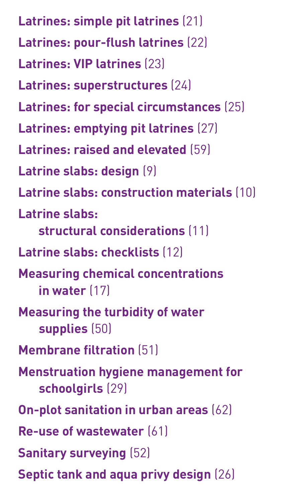**[Latrines: simple pit latrines](http://wedc.lboro.ac.uk/resources/e/mn/021-Simple-pit-latrines.pdf)** (21) **[Latrines: pour-flush latrines](http://wedc.lboro.ac.uk/resources/e/mn/022-Pour-flush-latrines.pdf)** (22) **[Latrines: VIP latrines](http://wedc.lboro.ac.uk/resources/e/mn/023-VIP-latrines.pdf)** (23) **[Latrines: superstructures](http://wedc.lboro.ac.uk/resources/e/mn/024-Latrine-superstructures.pdf)** (24) **[Latrines: for special circumstances](http://wedc.lboro.ac.uk/resources/e/mn/025-Latrines-for-special-circumstances.pdf)** (25) **[Latrines: emptying pit latrines](http://wedc.lboro.ac.uk/resources/e/mn/027-Emptying-pit-latrines.pdf)** (27) **[Latrines: raised and elevated](http://wedc.lboro.ac.uk/resources/e/mn/059-Raised-latrines.pdf)** (59) **[Latrine slabs: design](http://wedc.lboro.ac.uk/resources/e/mn/009-Latrine-slabs-design.pdf)** (9) **[Latrine slabs: construction materials](http://wedc.lboro.ac.uk/resources/e/mn/010-Latrine-slabs-construction-materials.pdf)** (10) **[Latrine slabs:](http://wedc.lboro.ac.uk/resources/e/mn/011-latrine-slabs-structural-considerations.pdf)  [structural considerations](http://wedc.lboro.ac.uk/resources/e/mn/011-latrine-slabs-structural-considerations.pdf)** (11) **[Latrine slabs:](http://wedc.lboro.ac.uk/resources/e/mn/012-Latrine-slabs-checklists.pdf) checklists** (12) **[Measuring chemical concentrations](http://wedc.lboro.ac.uk/resources/e/mn/017-Measuring-concentrations-of-chemicals-in-water.pdf)  [in water](http://wedc.lboro.ac.uk/resources/e/mn/017-Measuring-concentrations-of-chemicals-in-water.pdf)** (17) **[Measuring the turbidity of water](http://wedc.lboro.ac.uk/resources/e/mn/050-Measuring-the-turbidity-of-water-supplies.pdf)  [supplies](http://wedc.lboro.ac.uk/resources/e/mn/050-Measuring-the-turbidity-of-water-supplies.pdf)** (50) **[Membrane filtration](http://wedc.lboro.ac.uk/resources/e/mn/051-Membrane-filtration.pdf)** (51) **[Menstruation hygiene management for](http://wedc.lboro.ac.uk/resources/e/mn/029-Menstruation-hygiene-management.pdf)  [schoolgirls](http://wedc.lboro.ac.uk/resources/e/mn/029-Menstruation-hygiene-management.pdf)** (29) **[On-plot sanitation in urban areas](http://wedc.lboro.ac.uk/resources/e/mn/062-On-plot-sanitation-in-urban-areas.pdf)** (62) **[Re-use of wastewater](http://wedc.lboro.ac.uk/resources/e/mn/061-Re-use-of-wastewater.pdf)** (61) **[Sanitary surveying](http://wedc.lboro.ac.uk/resources/e/mn/052-Sanitary-surveying.pdf)** (52) **[Septic tank and aqua privy design](http://wedc.lboro.ac.uk/resources/e/mn/026-Septic-tank-and-aqua-privy-design.pdf)** (26)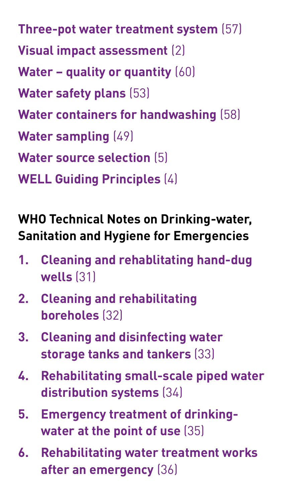**[Three-pot water treatment system](http://wedc.lboro.ac.uk/resources/e/mn/057-Three-pot-water-treatment-system.pdf)** (57) **[Visual impact assessment](http://wedc.lboro.ac.uk/resources/e/mn/002-Visual-impact-assessment.pdf)** (2) **[Water – quality or quantity](http://wedc.lboro.ac.uk/resources/e/mn/060-Water-quality-or-quantity.pdf)** (60) **[Water safety plans](http://wedc.lboro.ac.uk/resources/e/mn/053-Water-safety-plans.pdf)** (53) **[Water containers for handwashing](http://wedc.lboro.ac.uk/resources/e/mn/058-Water-containers-for-handwashing.pdf)** (58) **[Water sampling](http://wedc.lboro.ac.uk/resources/e/mn/049-Water-sampling.pdf)** (49) **[Water source selection](http://wedc.lboro.ac.uk/resources/e/mn/005-Water-source-selection.pdf)** (5) **[WELL Guiding Principles](http://wedc.lboro.ac.uk/resources/e/mn/004-WELL-Guiding-Principles.pdf)** (4)

#### **WHO Technical Notes on Drinking-water, Sanitation and Hygiene for Emergencies**

- **1. [Cleaning and rehablitating hand-dug](http://wedc.lboro.ac.uk/resources/e/mn/031-Cleaning-and-rehabilitating-hand-dug-wells.pdf)  [wells](http://wedc.lboro.ac.uk/resources/e/mn/031-Cleaning-and-rehabilitating-hand-dug-wells.pdf)** (31)
- **2. [Cleaning and rehabilitating](http://wedc.lboro.ac.uk/resources/e/mn/032-Cleaning-and-rehabilitating-boreholes.pdf)  [boreholes](http://wedc.lboro.ac.uk/resources/e/mn/032-Cleaning-and-rehabilitating-boreholes.pdf)** (32)
- **3. [Cleaning and disinfecting water](http://wedc.lboro.ac.uk/resources/e/mn/033-Cleaning-and-disinfecting-water-storage-tanks-and-tankers.pdf)  [storage tanks and tankers](http://wedc.lboro.ac.uk/resources/e/mn/033-Cleaning-and-disinfecting-water-storage-tanks-and-tankers.pdf)** (33)
- **4. [Rehabilitating small-scale piped water](http://wedc.lboro.ac.uk/resources/e/mn/034-Rehabilitating-small-scale-piped-water-distribution-systems.pdf) [distribution systems](http://wedc.lboro.ac.uk/resources/e/mn/034-Rehabilitating-small-scale-piped-water-distribution-systems.pdf)** (34)
- **5. [Emergency treatment of drinking](http://wedc.lboro.ac.uk/resources/e/mn/035-Emergency-treatment-of-drinking-water-at-the-point-of-use.pdf)[water at the point of use](http://wedc.lboro.ac.uk/resources/e/mn/035-Emergency-treatment-of-drinking-water-at-the-point-of-use.pdf)** (35)
- **6. [Rehabilitating water treatment works](http://wedc.lboro.ac.uk/resources/e/mn/036-Rehabilitating-water-treatment-works-after-an-emergency.pdf)  [after an emergency](http://wedc.lboro.ac.uk/resources/e/mn/036-Rehabilitating-water-treatment-works-after-an-emergency.pdf)** (36)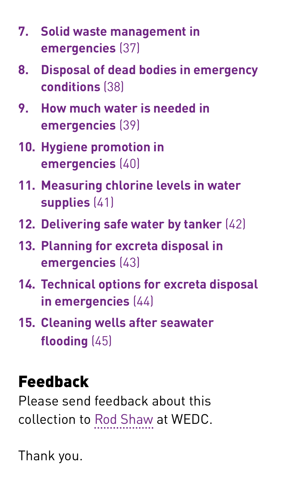- **7. [Solid waste management in](http://wedc.lboro.ac.uk/resources/e/mn/037-Solid-waste-management-in-emergencies.pdf)  [emergencies](http://wedc.lboro.ac.uk/resources/e/mn/037-Solid-waste-management-in-emergencies.pdf)** (37)
- **8. [Disposal of dead bodies in emergency](http://wedc.lboro.ac.uk/resources/e/mn/038-Disposal-of-dead-bodies-in-emergency-conditions.pdf)  [conditions](http://wedc.lboro.ac.uk/resources/e/mn/038-Disposal-of-dead-bodies-in-emergency-conditions.pdf)** (38)
- **9. [How much water is needed in](http://wedc.lboro.ac.uk/resources/e/mn/039-How-much-water-is-needed-in-emergencies.pdf)  [emergencies](http://wedc.lboro.ac.uk/resources/e/mn/039-How-much-water-is-needed-in-emergencies.pdf)** (39)
- **10. [Hygiene promotion in](http://wedc.lboro.ac.uk/resources/e/mn/040-Hygiene-promotion-in-emergencies.pdf)  [emergencies](http://wedc.lboro.ac.uk/resources/e/mn/040-Hygiene-promotion-in-emergencies.pdf)** (40)
- **11. [Measuring chlorine levels in water](http://wedc.lboro.ac.uk/resources/e/mn/041-Measuring-chlorine-levels-in-water-supplies.pdf)  [supplies](http://wedc.lboro.ac.uk/resources/e/mn/041-Measuring-chlorine-levels-in-water-supplies.pdf)** (41)
- **12. [Delivering safe water by tanker](http://wedc.lboro.ac.uk/resources/e/mn/042-Delivering-safe-water-by-tanker.pdf)** (42)
- **13. [Planning for excreta disposal in](http://wedc.lboro.ac.uk/resources/e/mn/043-Planning-for-excreta-disposal-in-emergencies.pdf)  [emergencies](http://wedc.lboro.ac.uk/resources/e/mn/043-Planning-for-excreta-disposal-in-emergencies.pdf)** (43)
- **14. [Technical options for excreta disposal](http://wedc.lboro.ac.uk/resources/e/mn/044-Technical-options-for-excreta-disposal.pdf)  [in emergencies](http://wedc.lboro.ac.uk/resources/e/mn/044-Technical-options-for-excreta-disposal.pdf)** (44)
- **15. [Cleaning wells after seawater](http://wedc.lboro.ac.uk/resources/e/mn/045-Cleaning-wells-after-seawater-flooding.pdf)  [flooding](http://wedc.lboro.ac.uk/resources/e/mn/045-Cleaning-wells-after-seawater-flooding.pdf)** (45)

# Feedback

Please send feedback about this collection to Rod Shaw at WEDC.

Thank you.